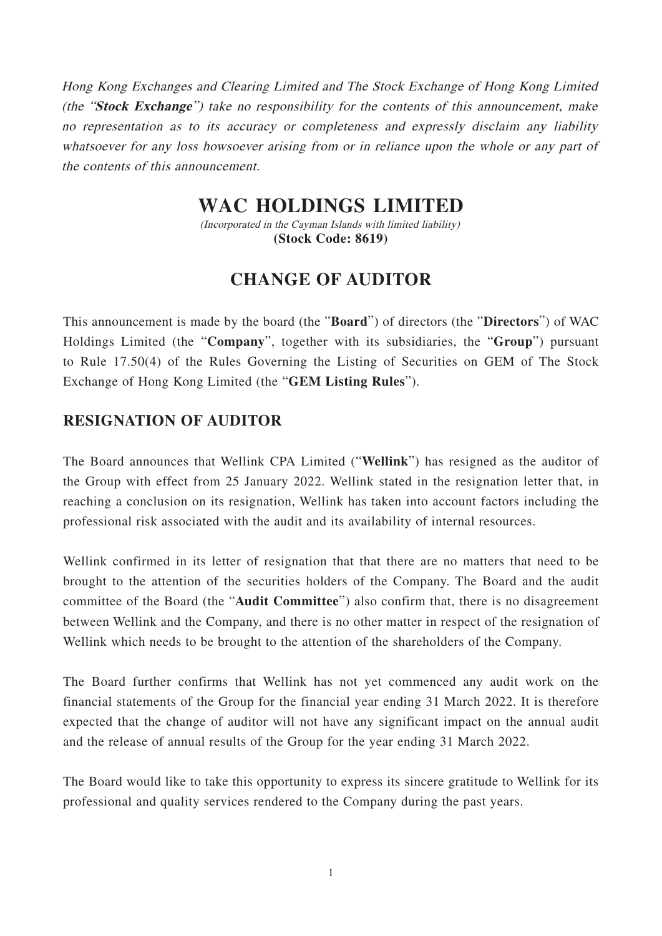Hong Kong Exchanges and Clearing Limited and The Stock Exchange of Hong Kong Limited (the "**Stock Exchange**") take no responsibility for the contents of this announcement, make no representation as to its accuracy or completeness and expressly disclaim any liability whatsoever for any loss howsoever arising from or in reliance upon the whole or any part of the contents of this announcement.

## **WAC HOLDINGS LIMITED**

(Incorporated in the Cayman Islands with limited liability) **(Stock Code: 8619)**

## **CHANGE OF AUDITOR**

This announcement is made by the board (the "**Board**") of directors (the "**Directors**") of WAC Holdings Limited (the "**Company**", together with its subsidiaries, the "**Group**") pursuant to Rule 17.50(4) of the Rules Governing the Listing of Securities on GEM of The Stock Exchange of Hong Kong Limited (the "**GEM Listing Rules**").

## **RESIGNATION OF AUDITOR**

The Board announces that Wellink CPA Limited ("**Wellink**") has resigned as the auditor of the Group with effect from 25 January 2022. Wellink stated in the resignation letter that, in reaching a conclusion on its resignation, Wellink has taken into account factors including the professional risk associated with the audit and its availability of internal resources.

Wellink confirmed in its letter of resignation that that there are no matters that need to be brought to the attention of the securities holders of the Company. The Board and the audit committee of the Board (the "**Audit Committee**") also confirm that, there is no disagreement between Wellink and the Company, and there is no other matter in respect of the resignation of Wellink which needs to be brought to the attention of the shareholders of the Company.

The Board further confirms that Wellink has not yet commenced any audit work on the financial statements of the Group for the financial year ending 31 March 2022. It is therefore expected that the change of auditor will not have any significant impact on the annual audit and the release of annual results of the Group for the year ending 31 March 2022.

The Board would like to take this opportunity to express its sincere gratitude to Wellink for its professional and quality services rendered to the Company during the past years.